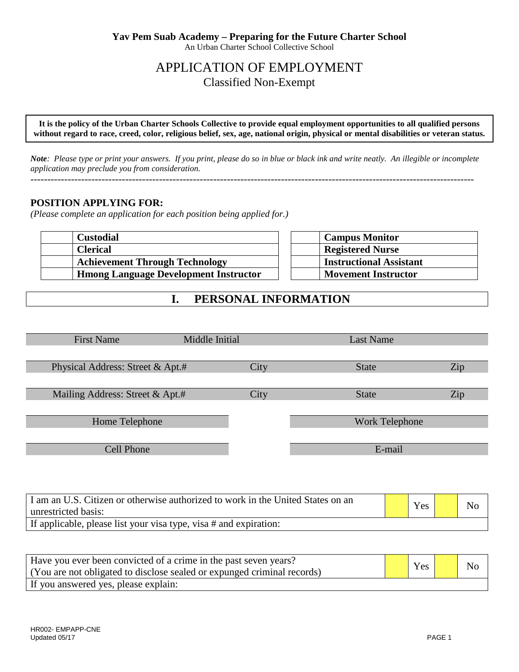# APPLICATION OF EMPLOYMENT Classified Non-Exempt

**It is the policy of the Urban Charter Schools Collective to provide equal employment opportunities to all qualified persons without regard to race, creed, color, religious belief, sex, age, national origin, physical or mental disabilities or veteran status.**

*Note: Please type or print your answers. If you print, please do so in blue or black ink and write neatly. An illegible or incomplete application may preclude you from consideration.* 

-----------------------------------------------------------------------------------------------------------------------------------

#### **POSITION APPLYING FOR:**

*(Please complete an application for each position being applied for.)*

| <b>Custodial</b>                             | <b>Campus Monitor</b>          |
|----------------------------------------------|--------------------------------|
| <b>Clerical</b>                              | <b>Registered Nurse</b>        |
| <b>Achievement Through Technology</b>        | <b>Instructional Assistant</b> |
| <b>Hmong Language Development Instructor</b> | <b>Movement Instructor</b>     |

### **I. PERSONAL INFORMATION**

| <b>First Name</b>                | Middle Initial |      | Last Name      |     |
|----------------------------------|----------------|------|----------------|-----|
|                                  |                |      |                |     |
| Physical Address: Street & Apt.# |                | City | <b>State</b>   | Zip |
|                                  |                |      |                |     |
| Mailing Address: Street & Apt.#  |                | City | <b>State</b>   | Zip |
|                                  |                |      |                |     |
| Home Telephone                   |                |      | Work Telephone |     |
|                                  |                |      |                |     |
| <b>Cell Phone</b>                |                |      | E-mail         |     |
|                                  |                |      |                |     |

| I am an U.S. Citizen or otherwise authorized to work in the United States on an<br>unrestricted basis: | Yes | No |
|--------------------------------------------------------------------------------------------------------|-----|----|
| If applicable, please list your visa type, visa # and expiration:                                      |     |    |

| Have you ever been convicted of a crime in the past seven years?<br>(You are not obligated to disclose sealed or expunged criminal records) | Yes | No |
|---------------------------------------------------------------------------------------------------------------------------------------------|-----|----|
| If you answered yes, please explain:                                                                                                        |     |    |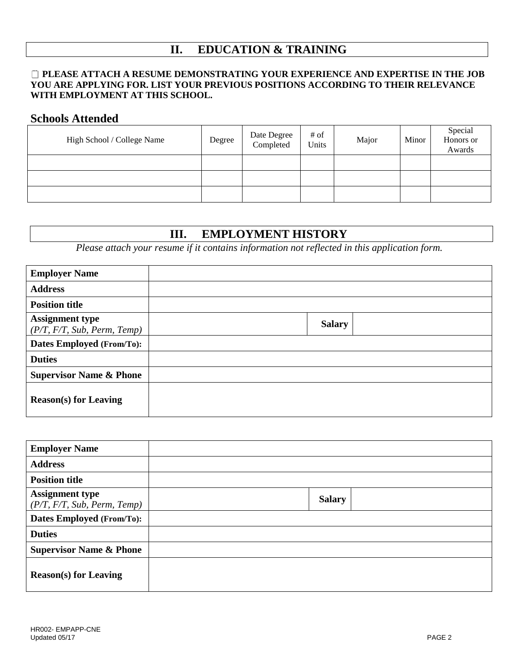# **II. EDUCATION & TRAINING**

#### **PLEASE ATTACH A RESUME DEMONSTRATING YOUR EXPERIENCE AND EXPERTISE IN THE JOB YOU ARE APPLYING FOR. LIST YOUR PREVIOUS POSITIONS ACCORDING TO THEIR RELEVANCE WITH EMPLOYMENT AT THIS SCHOOL.**

### **Schools Attended**

| High School / College Name | Degree | Date Degree<br>Completed | # of<br>Units | Major | Minor | Special<br>Honors or<br>Awards |
|----------------------------|--------|--------------------------|---------------|-------|-------|--------------------------------|
|                            |        |                          |               |       |       |                                |
|                            |        |                          |               |       |       |                                |
|                            |        |                          |               |       |       |                                |

#### **III. EMPLOYMENT HISTORY**

*Please attach your resume if it contains information not reflected in this application form.*

| <b>Employer Name</b>                                  |               |
|-------------------------------------------------------|---------------|
| <b>Address</b>                                        |               |
| <b>Position title</b>                                 |               |
| <b>Assignment type</b><br>(P/T, F/T, Sub, Perm, Temp) | <b>Salary</b> |
| Dates Employed (From/To):                             |               |
| <b>Duties</b>                                         |               |
| <b>Supervisor Name &amp; Phone</b>                    |               |
| <b>Reason(s)</b> for Leaving                          |               |

| <b>Employer Name</b>                                  |               |
|-------------------------------------------------------|---------------|
| <b>Address</b>                                        |               |
| <b>Position title</b>                                 |               |
| <b>Assignment type</b><br>(P/T, F/T, Sub, Perm, Temp) | <b>Salary</b> |
| <b>Dates Employed (From/To):</b>                      |               |
| <b>Duties</b>                                         |               |
| <b>Supervisor Name &amp; Phone</b>                    |               |
| <b>Reason(s)</b> for Leaving                          |               |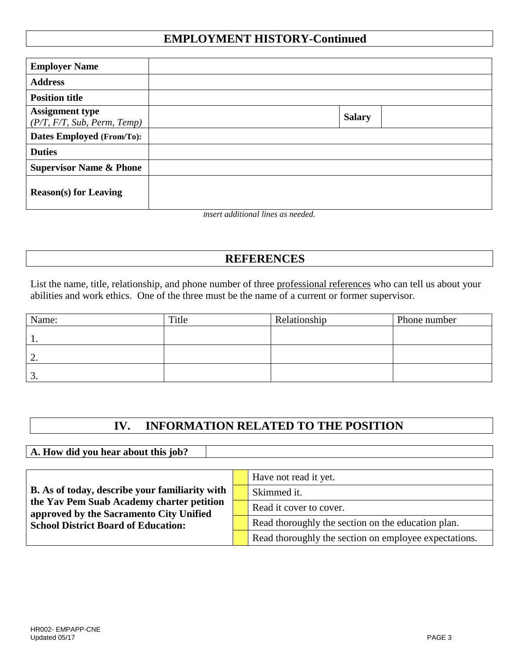### **EMPLOYMENT HISTORY-Continued**

| <b>Employer Name</b>                                  |               |  |
|-------------------------------------------------------|---------------|--|
| <b>Address</b>                                        |               |  |
| <b>Position title</b>                                 |               |  |
| <b>Assignment type</b><br>(P/T, F/T, Sub, Perm, Temp) | <b>Salary</b> |  |
| Dates Employed (From/To):                             |               |  |
| <b>Duties</b>                                         |               |  |
| <b>Supervisor Name &amp; Phone</b>                    |               |  |
| <b>Reason(s)</b> for Leaving                          |               |  |

*Insert additional lines as needed.*

# **REFERENCES**

List the name, title, relationship, and phone number of three professional references who can tell us about your abilities and work ethics. One of the three must be the name of a current or former supervisor.

| Name: | Title | Relationship | Phone number |
|-------|-------|--------------|--------------|
|       |       |              |              |
| ٠.    |       |              |              |
| ັ.    |       |              |              |

# **IV. INFORMATION RELATED TO THE POSITION**

**A. How did you hear about this job?**

|                                                                                      |  | Have not read it yet.                                 |
|--------------------------------------------------------------------------------------|--|-------------------------------------------------------|
| <b>B.</b> As of today, describe your familiarity with                                |  | Skimmed it.                                           |
| the Yav Pem Suab Academy charter petition<br>approved by the Sacramento City Unified |  | Read it cover to cover.                               |
| <b>School District Board of Education:</b>                                           |  | Read thoroughly the section on the education plan.    |
|                                                                                      |  | Read thoroughly the section on employee expectations. |